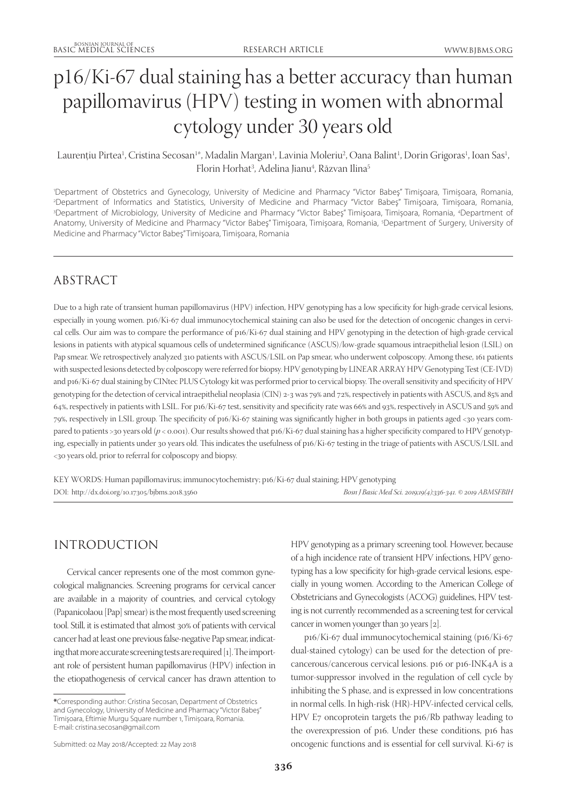# p16/Ki-67 dual staining has a better accuracy than human papillomavirus (HPV) testing in women with abnormal cytology under 30 years old

Laurențiu Pirtea<sup>1</sup>, Cristina Secosan<sup>1</sup>\*, Madalin Margan<sup>1</sup>, Lavinia Moleriu<sup>2</sup>, Oana Balint<sup>1</sup>, Dorin Grigoras<sup>1</sup>, Ioan Sas<sup>1</sup>, Florin Horhat<sup>3</sup>, Adelina Jianu<sup>4</sup>, Răzvan Ilina<sup>5</sup>

1 Department of Obstetrics and Gynecology, University of Medicine and Pharmacy "Victor Babeş" Timişoara, Timișoara, Romania, 2 Department of Informatics and Statistics, University of Medicine and Pharmacy "Victor Babeş" Timişoara, Timișoara, Romania, 3 Department of Microbiology, University of Medicine and Pharmacy "Victor Babeş" Timişoara, Timișoara, Romania, 4 Department of Anatomy, University of Medicine and Pharmacy "Victor Babeş" Timişoara, Timișoara, Romania, 5 Department of Surgery, University of Medicine and Pharmacy "Victor Babeş" Timişoara, Timișoara, Romania

# ABSTRACT

Due to a high rate of transient human papillomavirus (HPV) infection, HPV genotyping has a low specificity for high-grade cervical lesions, especially in young women. p16/Ki-67 dual immunocytochemical staining can also be used for the detection of oncogenic changes in cervical cells. Our aim was to compare the performance of p16/Ki-67 dual staining and HPV genotyping in the detection of high-grade cervical lesions in patients with atypical squamous cells of undetermined significance (ASCUS)/low-grade squamous intraepithelial lesion (LSIL) on Pap smear. We retrospectively analyzed 310 patients with ASCUS/LSIL on Pap smear, who underwent colposcopy. Among these, 161 patients with suspected lesions detected by colposcopy were referred for biopsy. HPV genotyping by LINEAR ARRAY HPV Genotyping Test (CE-IVD) and p16/Ki-67 dual staining by CINtec PLUS Cytology kit was performed prior to cervical biopsy. The overall sensitivity and specificity of HPV genotyping for the detection of cervical intraepithelial neoplasia (CIN) 2-3 was 79% and 72%, respectively in patients with ASCUS, and 85% and 64%, respectively in patients with LSIL. For p16/Ki-67 test, sensitivity and specificity rate was 66% and 93%, respectively in ASCUS and 59% and 79%, respectively in LSIL group. The specificity of p16/Ki-67 staining was significantly higher in both groups in patients aged <30 years compared to patients >30 years old ( $p < 0.001$ ). Our results showed that p16/Ki-67 dual staining has a higher specificity compared to HPV genotyping, especially in patients under 30 years old. This indicates the usefulness of p16/Ki-67 testing in the triage of patients with ASCUS/LSIL and <30 years old, prior to referral for colposcopy and biopsy.

KEY WORDS: Human papillomavirus; immunocytochemistry; p16/Ki-67 dual staining; HPV genotyping DOI: http://dx.doi.org/10.17305/bjbms.2018.3560 *Bosn J Basic Med Sci. 2019;19(4):336-341. © 2019 ABMSFBIH*

# INTRODUCTION

Cervical cancer represents one of the most common gynecological malignancies. Screening programs for cervical cancer are available in a majority of countries, and cervical cytology (Papanicolaou [Pap] smear) is the most frequently used screening tool. Still, it is estimated that almost 30% of patients with cervical cancer had at least one previous false-negative Pap smear, indicating that more accurate screening tests are required [1]. The important role of persistent human papillomavirus (HPV) infection in the etiopathogenesis of cervical cancer has drawn attention to

HPV genotyping as a primary screening tool. However, because of a high incidence rate of transient HPV infections, HPV genotyping has a low specificity for high-grade cervical lesions, especially in young women. According to the American College of Obstetricians and Gynecologists (ACOG) guidelines, HPV testing is not currently recommended as a screening test for cervical cancer in women younger than 30 years [2].

p16/Ki-67 dual immunocytochemical staining (p16/Ki-67 dual-stained cytology) can be used for the detection of precancerous/cancerous cervical lesions. p16 or p16-INK4A is a tumor-suppressor involved in the regulation of cell cycle by inhibiting the S phase, and is expressed in low concentrations in normal cells. In high-risk (HR)-HPV-infected cervical cells, HPV E7 oncoprotein targets the p16/Rb pathway leading to the overexpression of p16. Under these conditions, p16 has oncogenic functions and is essential for cell survival. Ki-67 is

**<sup>\*</sup>**Corresponding author: Cristina Secosan, Department of Obstetrics and Gynecology, University of Medicine and Pharmacy "Victor Babeş" Timişoara, Eftimie Murgu Square number 1, Timișoara, Romania. E-mail: cristina.secosan@gmail.com

Submitted: 02 May 2018/Accepted: 22 May 2018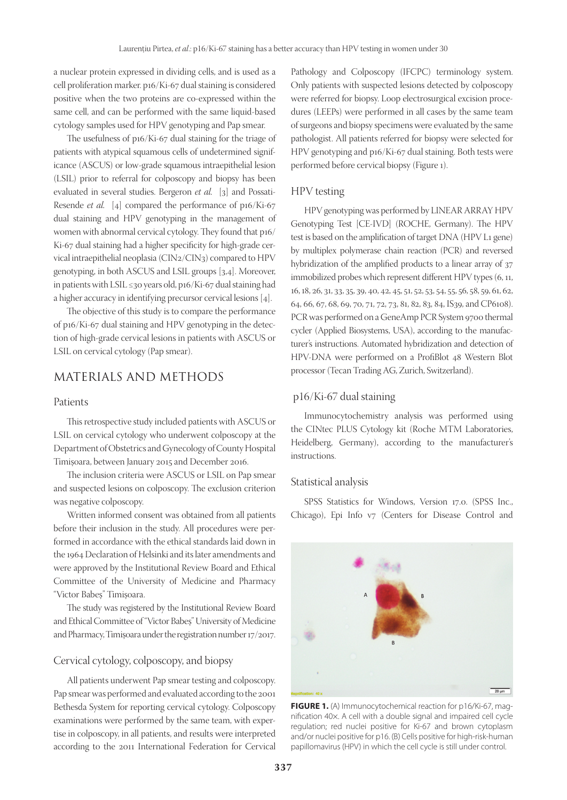a nuclear protein expressed in dividing cells, and is used as a cell proliferation marker. p16/Ki-67 dual staining is considered positive when the two proteins are co-expressed within the same cell, and can be performed with the same liquid-based cytology samples used for HPV genotyping and Pap smear.

The usefulness of p16/Ki-67 dual staining for the triage of patients with atypical squamous cells of undetermined significance (ASCUS) or low-grade squamous intraepithelial lesion (LSIL) prior to referral for colposcopy and biopsy has been evaluated in several studies. Bergeron *et al.* [3] and Possati-Resende *et al.* [4] compared the performance of p16/Ki-67 dual staining and HPV genotyping in the management of women with abnormal cervical cytology. They found that p16/ Ki-67 dual staining had a higher specificity for high-grade cervical intraepithelial neoplasia (CIN2/CIN3) compared to HPV genotyping, in both ASCUS and LSIL groups [3,4]. Moreover, in patients with LSIL ≤30 years old, p16/Ki-67 dual staining had a higher accuracy in identifying precursor cervical lesions [4].

The objective of this study is to compare the performance of p16/Ki-67 dual staining and HPV genotyping in the detection of high-grade cervical lesions in patients with ASCUS or LSIL on cervical cytology (Pap smear).

## MATERIALS AND METHODS

#### Patients

This retrospective study included patients with ASCUS or LSIL on cervical cytology who underwent colposcopy at the Department of Obstetrics and Gynecology of County Hospital Timişoara, between January 2015 and December 2016.

The inclusion criteria were ASCUS or LSIL on Pap smear and suspected lesions on colposcopy. The exclusion criterion was negative colposcopy.

Written informed consent was obtained from all patients before their inclusion in the study. All procedures were performed in accordance with the ethical standards laid down in the 1964 Declaration of Helsinki and its later amendments and were approved by the Institutional Review Board and Ethical Committee of the University of Medicine and Pharmacy "Victor Babeş" Timişoara.

The study was registered by the Institutional Review Board and Ethical Committee of "Victor Babeş" University of Medicine and Pharmacy, Timişoara under the registration number 17/2017.

#### Cervical cytology, colposcopy, and biopsy

All patients underwent Pap smear testing and colposcopy. Pap smear was performed and evaluated according to the 2001 Bethesda System for reporting cervical cytology. Colposcopy examinations were performed by the same team, with expertise in colposcopy, in all patients, and results were interpreted according to the 2011 International Federation for Cervical Pathology and Colposcopy (IFCPC) terminology system. Only patients with suspected lesions detected by colposcopy were referred for biopsy. Loop electrosurgical excision procedures (LEEPs) were performed in all cases by the same team of surgeons and biopsy specimens were evaluated by the same pathologist. All patients referred for biopsy were selected for HPV genotyping and p16/Ki-67 dual staining. Both tests were performed before cervical biopsy (Figure 1).

#### HPV testing

HPV genotyping was performed by LINEAR ARRAY HPV Genotyping Test [CE-IVD] (ROCHE, Germany). The HPV test is based on the amplification of target DNA (HPV L1 gene) by multiplex polymerase chain reaction (PCR) and reversed hybridization of the amplified products to a linear array of 37 immobilized probes which represent different HPV types (6, 11, 16, 18, 26, 31, 33, 35, 39, 40, 42, 45, 51, 52, 53, 54, 55, 56, 58, 59, 61, 62, 64, 66, 67, 68, 69, 70, 71, 72, 73, 81, 82, 83, 84, IS39, and CP6108). PCR was performed on a GeneAmp PCR System 9700 thermal cycler (Applied Biosystems, USA), according to the manufacturer's instructions. Automated hybridization and detection of HPV-DNA were performed on a ProfiBlot 48 Western Blot processor (Tecan Trading AG, Zurich, Switzerland).

#### p16/Ki-67 dual staining

Immunocytochemistry analysis was performed using the CINtec PLUS Cytology kit (Roche MTM Laboratories, Heidelberg, Germany), according to the manufacturer's instructions.

#### Statistical analysis

SPSS Statistics for Windows, Version 17.0. (SPSS Inc., Chicago), Epi Info v7 (Centers for Disease Control and



**FIGURE 1.** (A) Immunocytochemical reaction for p16/Ki-67, magnification 40×. A cell with a double signal and impaired cell cycle regulation; red nuclei positive for Ki-67 and brown cytoplasm and/or nuclei positive for p16. (B) Cells positive for high-risk-human papillomavirus (HPV) in which the cell cycle is still under control.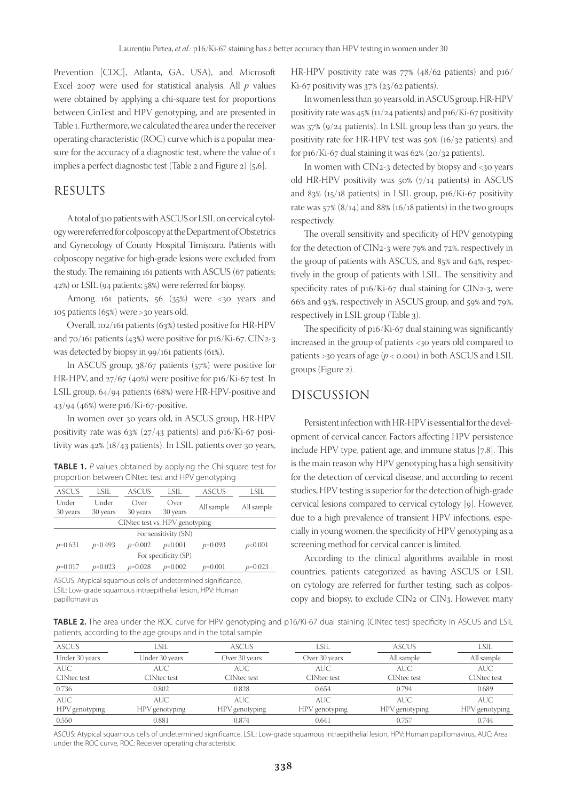Prevention [CDC], Atlanta, GA, USA), and Microsoft Excel 2007 were used for statistical analysis. All *p* values were obtained by applying a chi-square test for proportions between CinTest and HPV genotyping, and are presented in Table 1. Furthermore, we calculated the area under the receiver operating characteristic (ROC) curve which is a popular measure for the accuracy of a diagnostic test, where the value of 1 implies a perfect diagnostic test (Table 2 and Figure 2) [5,6].

### RESULTS

A total of 310 patients with ASCUS or LSIL on cervical cytology were referred for colposcopy at the Department of Obstetrics and Gynecology of County Hospital Timişoara. Patients with colposcopy negative for high-grade lesions were excluded from the study. The remaining 161 patients with ASCUS (67 patients; 42%) or LSIL (94 patients; 58%) were referred for biopsy.

Among 161 patients,  $56$   $(35%)$  were <30 years and 105 patients (65%) were >30 years old.

Overall, 102/161 patients (63%) tested positive for HR-HPV and  $70/161$  patients (43%) were positive for p16/Ki-67. CIN2-3 was detected by biopsy in 99/161 patients (61%).

In ASCUS group, 38/67 patients (57%) were positive for HR-HPV, and 27/67 (40%) were positive for p16/Ki-67 test. In LSIL group, 64/94 patients (68%) were HR-HPV-positive and 43/94 (46%) were p16/Ki-67-positive.

In women over 30 years old, in ASCUS group, HR-HPV positivity rate was  $63\%$  ( $27/43$  patients) and p16/Ki-67 positivity was 42% (18/43 patients). In LSIL patients over 30 years,

| <b>TABLE 1.</b> P values obtained by applying the Chi-square test for |  |  |  |
|-----------------------------------------------------------------------|--|--|--|
| proportion between CINtec test and HPV genotyping                     |  |  |  |

| <b>ASCUS</b>                   | LSIL      | <b>ASCUS</b> | LSIL      | <b>ASCUS</b> | LSIL       |  |  |
|--------------------------------|-----------|--------------|-----------|--------------|------------|--|--|
| Under                          | Under     | Over         | Over      | All sample   | All sample |  |  |
| 30 years                       | 30 years  | 30 years     | 30 years  |              |            |  |  |
| CINtec test vs. HPV genotyping |           |              |           |              |            |  |  |
| For sensitivity (SN)           |           |              |           |              |            |  |  |
| $p=0.631$                      | $p=0.493$ | $p=0.002$    | p<0.001   | $p=0.093$    | p<0.001    |  |  |
| For specificity (SP)           |           |              |           |              |            |  |  |
| $p=0.017$                      | $p=0.023$ | $p=0.028$    | $p=0.002$ | $p=0.001$    | $p=0.023$  |  |  |

ASCUS: Atypical squamous cells of undetermined significance, LSIL: Low-grade squamous intraepithelial lesion, HPV: Human papillomavirus

HR-HPV positivity rate was 77% (48/62 patients) and p16/ Ki-67 positivity was 37% (23/62 patients).

In women less than 30 years old, in ASCUS group, HR-HPV positivity rate was 45% (11/24 patients) and p16/Ki-67 positivity was 37% (9/24 patients). In LSIL group less than 30 years, the positivity rate for HR-HPV test was 50% (16/32 patients) and for p16/Ki-67 dual staining it was  $62\%$  ( $20/32$  patients).

In women with CIN2-3 detected by biopsy and <30 years old HR-HPV positivity was 50% (7/14 patients) in ASCUS and 83% (15/18 patients) in LSIL group, p16/Ki-67 positivity rate was  $57\%$  ( $8/14$ ) and  $88\%$  ( $16/18$  patients) in the two groups respectively.

The overall sensitivity and specificity of HPV genotyping for the detection of CIN2-3 were 79% and 72%, respectively in the group of patients with ASCUS, and 85% and 64%, respectively in the group of patients with LSIL. The sensitivity and specificity rates of p16/Ki-67 dual staining for CIN2-3, were 66% and 93%, respectively in ASCUS group, and 59% and 79%, respectively in LSIL group (Table 3).

The specificity of p16/Ki-67 dual staining was significantly increased in the group of patients <30 years old compared to patients >30 years of age  $(p < 0.001)$  in both ASCUS and LSIL groups (Figure 2).

# DISCUSSION

Persistent infection with HR-HPV is essential for the development of cervical cancer. Factors affecting HPV persistence include HPV type, patient age, and immune status [7,8]. This is the main reason why HPV genotyping has a high sensitivity for the detection of cervical disease, and according to recent studies, HPV testing is superior for the detection of high-grade cervical lesions compared to cervical cytology [9]. However, due to a high prevalence of transient HPV infections, especially in young women, the specificity of HPV genotyping as a screening method for cervical cancer is limited.

According to the clinical algorithms available in most countries, patients categorized as having ASCUS or LSIL on cytology are referred for further testing, such as colposcopy and biopsy, to exclude CIN2 or CIN3. However, many

**TABLE 2.** The area under the ROC curve for HPV genotyping and p16/Ki-67 dual staining (CINtec test) specificity in ASCUS and LSIL patients, according to the age groups and in the total sample

| <b>ASCUS</b>       | LSIL               | <b>ASCUS</b>       | LSIL               | <b>ASCUS</b>       | LSIL               |
|--------------------|--------------------|--------------------|--------------------|--------------------|--------------------|
| Under 30 years     | Under 30 years     | Over 30 years      | Over 30 years      | All sample         | All sample         |
| <b>AUC</b>         | AUC.               | <b>AUC</b>         | <b>AUC</b>         | <b>AUC</b>         | <b>AUC</b>         |
| <b>CINtec test</b> | <b>CINtec test</b> | <b>CINtec test</b> | <b>CINtec test</b> | <b>CINtec test</b> | <b>CINtec</b> test |
| 0.736              | 0.802              | 0.828              | 0.654              | 0.794              | 0.689              |
| <b>AUC</b>         | AUC.               | <b>AUC</b>         | AUC.               | AUC.               | <b>AUC</b>         |
| HPV genotyping     | HPV genotyping     | HPV genotyping     | HPV genotyping     | HPV genotyping     | HPV genotyping     |
| 0.550              | 0.881              | 0.874              | 0.641              | 0.757              | 0.744              |

ASCUS: Atypical squamous cells of undetermined significance, LSIL: Low-grade squamous intraepithelial lesion, HPV: Human papillomavirus, AUC: Area under the ROC curve, ROC: Receiver operating characteristic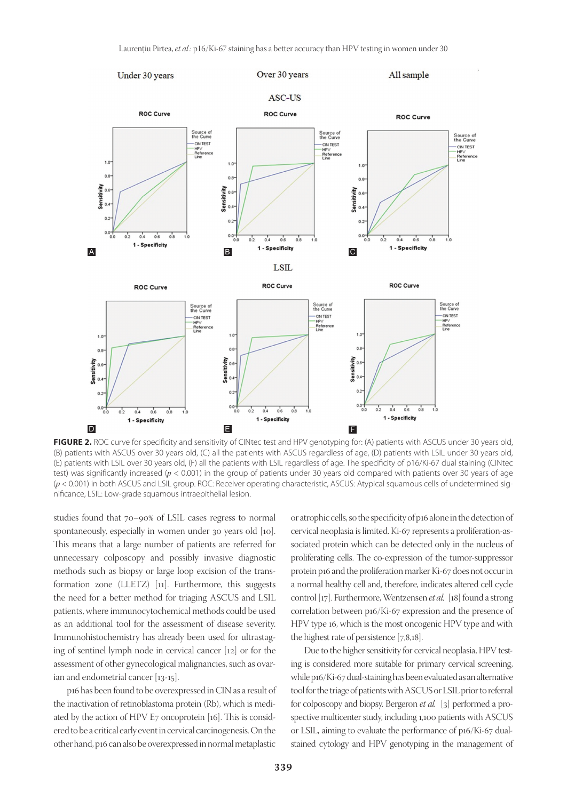

FIGURE 2. ROC curve for specificity and sensitivity of CINtec test and HPV genotyping for: (A) patients with ASCUS under 30 years old, (B) patients with ASCUS over 30 years old, (C) all the patients with ASCUS regardless of age, (D) patients with LSIL under 30 years old, (E) patients with LSIL over 30 years old, (F) all the patients with LSIL regardless of age. The specificity of p16/Ki-67 dual staining (CINtec test) was significantly increased (*p* < 0.001) in the group of patients under 30 years old compared with patients over 30 years of age (*p* < 0.001) in both ASCUS and LSIL group. ROC: Receiver operating characteristic, ASCUS: Atypical squamous cells of undetermined significance, LSIL: Low-grade squamous intraepithelial lesion.

studies found that 70–90% of LSIL cases regress to normal spontaneously, especially in women under 30 years old [10]. This means that a large number of patients are referred for unnecessary colposcopy and possibly invasive diagnostic methods such as biopsy or large loop excision of the transformation zone (LLETZ) [11]. Furthermore, this suggests the need for a better method for triaging ASCUS and LSIL patients, where immunocytochemical methods could be used as an additional tool for the assessment of disease severity. Immunohistochemistry has already been used for ultrastaging of sentinel lymph node in cervical cancer [12] or for the assessment of other gynecological malignancies, such as ovarian and endometrial cancer [13-15].

p16 has been found to be overexpressed in CIN as a result of the inactivation of retinoblastoma protein (Rb), which is mediated by the action of HPV E7 oncoprotein [16]. This is considered to be a critical early event in cervical carcinogenesis. On the other hand, p16 can also be overexpressed in normal metaplastic

or atrophic cells, so the specificity of p16 alone in the detection of cervical neoplasia is limited. Ki-67 represents a proliferation-associated protein which can be detected only in the nucleus of proliferating cells. The co-expression of the tumor-suppressor protein p16 and the proliferation marker Ki-67 does not occur in a normal healthy cell and, therefore, indicates altered cell cycle control [17]. Furthermore, Wentzensen *et al.* [18] found a strong correlation between p16/Ki-67 expression and the presence of HPV type 16, which is the most oncogenic HPV type and with the highest rate of persistence [7,8,18].

Due to the higher sensitivity for cervical neoplasia, HPV testing is considered more suitable for primary cervical screening, while p16/Ki-67 dual-staining has been evaluated as an alternative tool for the triage of patients with ASCUS or LSIL prior to referral for colposcopy and biopsy. Bergeron *et al.* [3] performed a prospective multicenter study, including 1,100 patients with ASCUS or LSIL, aiming to evaluate the performance of p16/Ki-67 dualstained cytology and HPV genotyping in the management of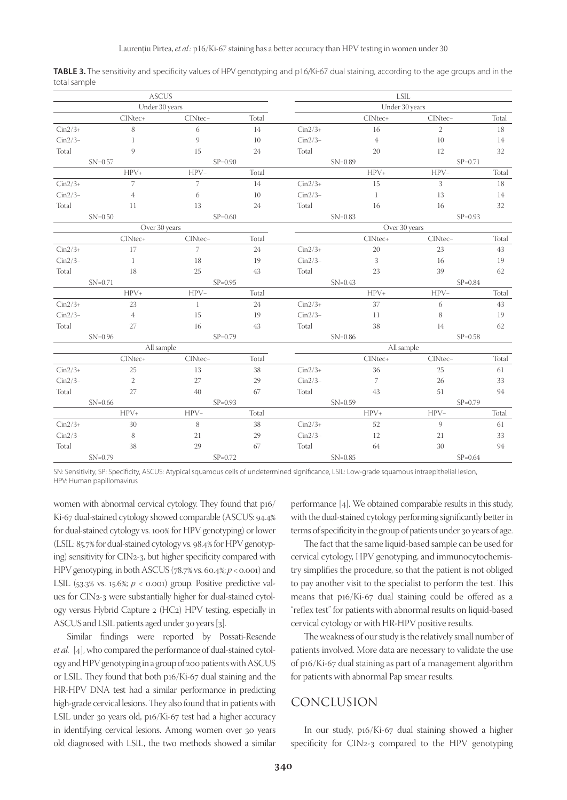| <b>ASCUS</b> |                                         |                |            | <b>LSIL</b>    |                |                |             |  |
|--------------|-----------------------------------------|----------------|------------|----------------|----------------|----------------|-------------|--|
|              | Under 30 years                          |                |            | Under 30 years |                |                |             |  |
|              | CINtec+                                 | CINtec-        | Total      |                | CINtec+        | CINtec-        | Total       |  |
| $Cin2/3+$    | 8                                       | 6              | 14         | $Cin2/3+$      | 16             | $\overline{2}$ | 18          |  |
| $Cin2/3-$    | $\mathbf{1}$                            | 9              | 10         | $Cin2/3-$      | $\overline{4}$ | 10             | 14          |  |
| Total        | 9                                       | 15             | 24         | Total          | 20             | 12             | 32          |  |
|              | $SN = 0.57$                             | $SP=0.90$      |            |                | $SN = 0.89$    | $SP = 0.71$    |             |  |
|              | $HPV+$                                  | $HPV-$         | Total      |                | $HPV+$         | $HPV-$         | Total       |  |
| $Cin2/3+$    | $\overline{7}$                          | $\overline{7}$ | 14         | $Cin2/3+$      | 15             | 3              | 18          |  |
| $Cin2/3-$    | $\overline{4}$                          | 6              | 10         | $Cin2/3-$      | -1             | 13             | 14          |  |
| Total        | 11                                      | 13             | 24         | Total          | 16             | 16             | 32          |  |
|              | $SN=0.50$                               | $SP = 0.60$    |            |                | $SN=0.83$      |                | $SP = 0.93$ |  |
|              | Over 30 years                           |                |            |                | Over 30 years  |                |             |  |
|              | CINtec+                                 | CINtec-        | Total      |                | CINtec+        | CINtec-        | Total       |  |
| $Cin2/3+$    | 17                                      | $\overline{7}$ | 24         | $Cin2/3+$      | 20             | 23             | 43          |  |
| $Cin2/3-$    | $\mathbf{1}$                            | 18             | 19         | $Cin2/3-$      | 3              | 16             | 19          |  |
| Total        | 18                                      | 25             | 43         | Total          | 23             | 39             | 62          |  |
|              | $SN = 0.71$                             | $SP = 0.95$    |            | $SN=0.43$      |                | $SP=0.84$      |             |  |
|              | $HPV+$                                  | $HPV-$         | Total      |                | $HPV+$         | $HPV-$         | Total       |  |
| $Cin2/3+$    | 23                                      | $\mathbf{1}$   | 24         | $Cin2/3+$      | 37             | 6              | 43          |  |
| $Cin2/3-$    | $\overline{4}$                          | 15             | 19         | $Cin2/3-$      | 11             | 8              | 19          |  |
| Total        | 27                                      | 16             | 43         | Total          | 38             | 14             | 62          |  |
|              | $SN=0.96$                               | $SP = 0.79$    |            | $SN=0.86$      |                | $SP = 0.58$    |             |  |
|              | All sample                              |                | All sample |                |                |                |             |  |
|              | CINtec+                                 | CINtec-        | Total      |                | CINtec+        | CINtec-        | Total       |  |
| $Cin2/3+$    | 25                                      | 13             | 38         | $Cin2/3+$      | 36             | 25             | 61          |  |
| $Cin2/3-$    | $\overline{2}$                          | 27             | 29         | $Cin2/3-$      | 7              | 26             | 33          |  |
| Total        | 27                                      | 40             | 67         | Total          | 43             | 51             | 94          |  |
|              | $SN=0.66$                               | $SP=0.93$      |            | $SN = 0.59$    |                | $SP = 0.79$    |             |  |
|              | $HPV+$                                  | $HPV-$         | Total      |                | $HPV+$         | $HPV-$         | Total       |  |
| $Cin2/3+$    | 30                                      | 8              | 38         | $Cin2/3+$      | $52\,$         | 9              | 61          |  |
| $Cin2/3-$    | 8                                       | 21             | 29         | $Cin2/3-$      | 12             | 21             | 33          |  |
| Total        | 38                                      | 29             | 67         | Total          | 64             | 30             | 94          |  |
|              | $SN=0.79$<br>$SP = 0.72$<br>$SN = 0.85$ |                |            | $SP=0.64$      |                |                |             |  |

**TABLE 3.** The sensitivity and specificity values of HPV genotyping and p16/Ki-67 dual staining, according to the age groups and in the total sample

SN: Sensitivity, SP: Specificity, ASCUS: Atypical squamous cells of undetermined significance, LSIL: Low-grade squamous intraepithelial lesion, HPV: Human papillomavirus

women with abnormal cervical cytology. They found that p16/ Ki-67 dual-stained cytology showed comparable (ASCUS: 94.4% for dual-stained cytology vs. 100% for HPV genotyping) or lower (LSIL: 85.7% for dual-stained cytology vs. 98.4% for HPV genotyping) sensitivity for CIN2-3, but higher specificity compared with HPV genotyping, in both ASCUS (78.7% vs. 60.4%; *p* < 0.001) and LSIL (53.3% vs. 15.6%;  $p <$  0.001) group. Positive predictive values for CIN2-3 were substantially higher for dual-stained cytology versus Hybrid Capture 2 (HC2) HPV testing, especially in ASCUS and LSIL patients aged under 30 years [3].

Similar findings were reported by Possati-Resende *et al.* [4], who compared the performance of dual-stained cytology and HPV genotyping in a group of 200 patients with ASCUS or LSIL. They found that both p16/Ki-67 dual staining and the HR-HPV DNA test had a similar performance in predicting high-grade cervical lesions. They also found that in patients with LSIL under 30 years old, p16/Ki-67 test had a higher accuracy in identifying cervical lesions. Among women over 30 years old diagnosed with LSIL, the two methods showed a similar

performance [4]. We obtained comparable results in this study, with the dual-stained cytology performing significantly better in terms of specificity in the group of patients under 30 years of age.

The fact that the same liquid-based sample can be used for cervical cytology, HPV genotyping, and immunocytochemistry simplifies the procedure, so that the patient is not obliged to pay another visit to the specialist to perform the test. This means that p16/Ki-67 dual staining could be offered as a "reflex test" for patients with abnormal results on liquid-based cervical cytology or with HR-HPV positive results.

The weakness of our study is the relatively small number of patients involved. More data are necessary to validate the use of p16/Ki-67 dual staining as part of a management algorithm for patients with abnormal Pap smear results.

## CONCLUSION

In our study, p16/Ki-67 dual staining showed a higher specificity for CIN2-3 compared to the HPV genotyping